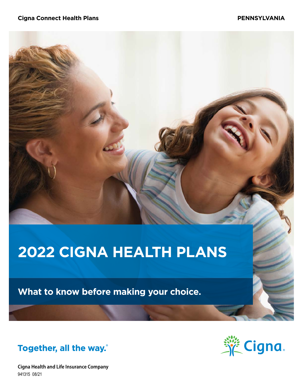#### **Cigna Connect Health Plans PENNSYLVANIA**

# **2022 CIGNA HEALTH PLANS**

**What to know before making your choice.**



**Cigna Health and Life Insurance Company** 941315 08/21

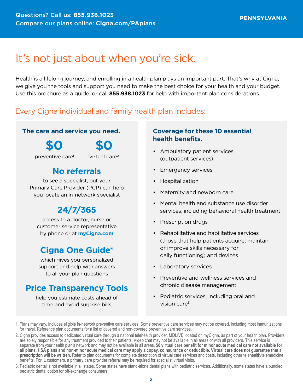# It's not just about when you're sick.

Health is a lifelong journey, and enrolling in a health plan plays an important part. That's why at Cigna, we give you the tools and support you need to make the best choice for your health and your budget. Use this brochure as a guide, or call **855.938.1023** for help with important plan considerations.

### Every Cigna individual and family health plan includes:

### **The care and service you need.**

**\$0**

**\$0**

preventive care1

virtual care2

### **No referrals**

to see a specialist, but your Primary Care Provider (PCP) can help you locate an in-network specialist

# **24/7/365**

access to a doctor, nurse or customer service representative by phone or at **[myCigna.com](http://myCigna.com)**

### **Cigna One Guide®**

which gives you personalized support and help with answers to all your plan questions

### **Price Transparency Tools**

help you estimate costs ahead of time and avoid surprise bills

### **Coverage for these 10 essential health benefits.**

- Ambulatory patient services (outpatient services)
- Emergency services
- Hospitalization
- Maternity and newborn care
- Mental health and substance use disorder services, including behavioral health treatment
- Prescription drugs
- Rehabilitative and habilitative services (those that help patients acquire, maintain or improve skills necessary for daily functioning) and devices
- Laboratory services
- Preventive and wellness services and chronic disease management
- Pediatric services, including oral and vision care $3$

3. Pediatric dental is not available in all states. Some states have stand-alone dental plans with pediatric services. Additionally, some states have a bundled pediatric dental option for off-exchange consumers.

<sup>1.</sup> Plans may vary. Includes eligible in-network preventive care services. Some preventive care services may not be covered, including most immunizations for travel. Reference plan documents for a list of covered and non-covered preventive care services.

<sup>2.</sup> Cigna provides access to dedicated virtual care through a national telehealth provider, MDLIVE located on myCigna, as part of your health plan. Providers are solely responsible for any treatment provided to their patients. Video chat may not be available in all areas or with all providers. This service is separate from your health plan's network and may not be available in all areas. **\$0 virtual care benefit for minor acute medical care not available for all plans. HSA plans and non-minor acute medical care may apply a copay, coinsurance or deductible. Virtual care does not guarantee that a prescription will be written.** Refer to plan documents for complete description of virtual care services and costs, including other telehealth/telemedicine benefits. For IL customers, a primary care provider referral may be required for specialist virtual visits.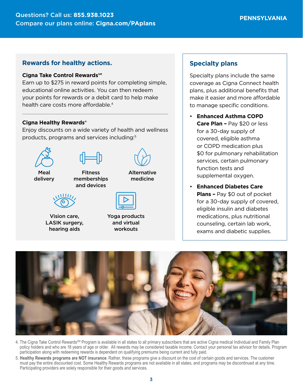### **Rewards for healthy actions.**

#### **Cigna Take Control Rewards℠**

Earn up to \$275 in reward points for completing simple, educational online activities. You can then redeem your points for rewards or a debit card to help make health care costs more affordable.<sup>4</sup>

#### **Cigna Healthy Rewards®**

Enjoy discounts on a wide variety of health and wellness products, programs and services including:5



Vision care, LASIK surgery, hearing aids

| Yoga products |
|---------------|
| and virtual   |
| workouts      |

### **Specialty plans**

Specialty plans include the same coverage as Cigna Connect health plans, plus additional benefits that make it easier and more affordable to manage specific conditions.

- **Enhanced Asthma COPD Care Plan –** Pay \$20 or less for a 30-day supply of covered, eligible asthma or COPD medication plus \$0 for pulmonary rehabilitation services, certain pulmonary function tests and supplemental oxygen.
- **Enhanced Diabetes Care Plans –** Pay \$0 out of pocket for a 30-day supply of covered, eligible insulin and diabetes medications, plus nutritional counseling, certain lab work, exams and diabetic supplies.



- 4. The Cigna Take Control Rewards<sup>SM</sup> Program is available in all states to all primary subscribers that are active Cigna medical Individual and Family Plan policy holders and who are 18 years of age or older. All rewards may be considered taxable income. Contact your personal tax advisor for details. Program participation along with redeeming rewards is dependent on qualifying premiums being current and fully paid.
- 5. **Healthy Rewards programs are NOT insurance**. Rather, these programs give a discount on the cost of certain goods and services. The customer must pay the entire discounted cost. Some Healthy Rewards programs are not available in all states, and programs may be discontinued at any time. Participating providers are solely responsible for their goods and services.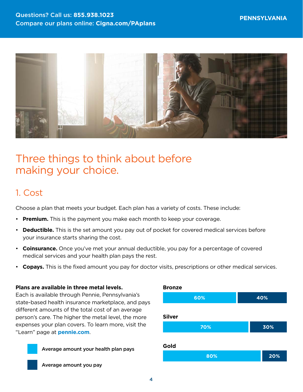

# Three things to think about before making your choice.

### 1. Cost

Choose a plan that meets your budget. Each plan has a variety of costs. These include:

- **Premium.** This is the payment you make each month to keep your coverage.
- **Deductible.** This is the set amount you pay out of pocket for covered medical services before your insurance starts sharing the cost.
- **Coinsurance.** Once you've met your annual deductible, you pay for a percentage of covered medical services and your health plan pays the rest.
- **Copays.** This is the fixed amount you pay for doctor visits, prescriptions or other medical services.

**Bronze**

#### **Plans are available in three metal levels.**

Each is available through Pennie, Pennsylvania's state-based health insurance marketplace, and pays different amounts of the total cost of an average person's care. The higher the metal level, the more expenses your plan covers. To learn more, visit the "Learn" page at **[pennie.com](http://pennie.com)**.



Average amount your health plan pays



Average amount you pay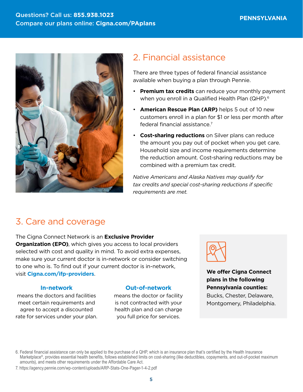

# 2. Financial assistance

There are three types of federal financial assistance available when buying a plan through Pennie.

- **Premium tax credits** can reduce your monthly payment when you enroll in a Qualified Health Plan (QHP).<sup>6</sup>
- **American Rescue Plan (ARP)** helps 5 out of 10 new customers enroll in a plan for \$1 or less per month after federal financial assistance.7
- **Cost-sharing reductions** on Silver plans can reduce the amount you pay out of pocket when you get care. Household size and income requirements determine the reduction amount. Cost-sharing reductions may be combined with a premium tax credit.

*Native Americans and Alaska Natives may qualify for tax credits and special cost-sharing reductions if specific requirements are met.*

# 3. Care and coverage

The Cigna Connect Network is an **Exclusive Provider Organization (EPO)**, which gives you access to local providers selected with cost and quality in mind. To avoid extra expenses, make sure your current doctor is in-network or consider switching to one who is. To find out if your current doctor is in-network, visit **[Cigna.com/ifp-providers](https://www.Cigna.com/ifp-providers)**.

#### **In-network**

means the doctors and facilities meet certain requirements and agree to accept a discounted rate for services under your plan.

### **Out-of-network**

means the doctor or facility is not contracted with your health plan and can charge you full price for services.



**We offer Cigna Connect plans in the following Pennsylvania counties:**  Bucks, Chester, Delaware, Montgomery, Philadelphia.

6. Federal financial assistance can only be applied to the purchase of a QHP, which is an insurance plan that's certified by the Health Insurance Marketplace®, provides essential health benefits, follows established limits on cost-sharing (like deductibles, copayments, and out-of-pocket maximum amounts), and meets other requirements under the Affordable Care Act.

7.<https://agency.pennie.com/wp-content/uploads/ARP-Stats-One-Pager-1-4-2.pdf>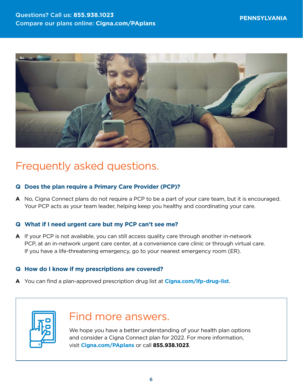

# Frequently asked questions.

### **Q Does the plan require a Primary Care Provider (PCP)?**

**A** No, Cigna Connect plans do not require a PCP to be a part of your care team, but it is encouraged. Your PCP acts as your team leader, helping keep you healthy and coordinating your care.

### **Q What if I need urgent care but my PCP can't see me?**

**A** If your PCP is not available, you can still access quality care through another in-network PCP, at an in-network urgent care center, at a convenience care clinic or through virtual care. If you have a life-threatening emergency, go to your nearest emergency room (ER).

### **Q How do I know if my prescriptions are covered?**

**A** You can find a plan-approved prescription drug list at **[Cigna.com/ifp-drug-list](http://Cigna.com/ifp-drug-list)**.



# Find more answers.

We hope you have a better understanding of your health plan options and consider a Cigna Connect plan for 2022. For more information, visit **[Cigna.com/PAplans](http://Cigna.com/VA-plans)** or call **855.938.1023**.